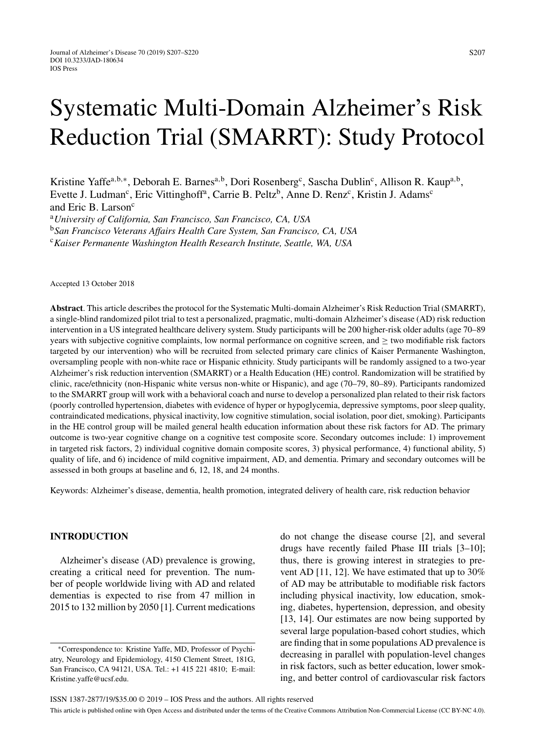# Systematic Multi-Domain Alzheimer's Risk Reduction Trial (SMARRT): Study Protocol

Kristine Yaffe<sup>a,b,∗</sup>, Deborah E. Barnes<sup>a,b</sup>, Dori Rosenberg<sup>c</sup>, Sascha Dublin<sup>c</sup>, Allison R. Kaup<sup>a,b</sup>, Evette J. Ludman<sup>c</sup>, Eric Vittinghoff<sup>a</sup>, Carrie B. Peltz<sup>b</sup>, Anne D. Renz<sup>c</sup>, Kristin J. Adams<sup>c</sup> and Eric B. Larson<sup>c</sup>

<sup>a</sup>*University of California, San Francisco, San Francisco, CA, USA*

<sup>b</sup>*San Francisco Veterans Affairs Health Care System, San Francisco, CA, USA*

<sup>c</sup>*Kaiser Permanente Washington Health Research Institute, Seattle, WA, USA*

Accepted 13 October 2018

**Abstract**. This article describes the protocol for the Systematic Multi-domain Alzheimer's Risk Reduction Trial (SMARRT), a single-blind randomized pilot trial to test a personalized, pragmatic, multi-domain Alzheimer's disease (AD) risk reduction intervention in a US integrated healthcare delivery system. Study participants will be 200 higher-risk older adults (age 70–89 years with subjective cognitive complaints, low normal performance on cognitive screen, and ≥ two modifiable risk factors targeted by our intervention) who will be recruited from selected primary care clinics of Kaiser Permanente Washington, oversampling people with non-white race or Hispanic ethnicity. Study participants will be randomly assigned to a two-year Alzheimer's risk reduction intervention (SMARRT) or a Health Education (HE) control. Randomization will be stratified by clinic, race/ethnicity (non-Hispanic white versus non-white or Hispanic), and age (70–79, 80–89). Participants randomized to the SMARRT group will work with a behavioral coach and nurse to develop a personalized plan related to their risk factors (poorly controlled hypertension, diabetes with evidence of hyper or hypoglycemia, depressive symptoms, poor sleep quality, contraindicated medications, physical inactivity, low cognitive stimulation, social isolation, poor diet, smoking). Participants in the HE control group will be mailed general health education information about these risk factors for AD. The primary outcome is two-year cognitive change on a cognitive test composite score. Secondary outcomes include: 1) improvement in targeted risk factors, 2) individual cognitive domain composite scores, 3) physical performance, 4) functional ability, 5) quality of life, and 6) incidence of mild cognitive impairment, AD, and dementia. Primary and secondary outcomes will be assessed in both groups at baseline and 6, 12, 18, and 24 months.

Keywords: Alzheimer's disease, dementia, health promotion, integrated delivery of health care, risk reduction behavior

# **INTRODUCTION**

Alzheimer's disease (AD) prevalence is growing, creating a critical need for prevention. The number of people worldwide living with AD and related dementias is expected to rise from 47 million in 2015 to 132 million by 2050 [1]. Current medications do not change the disease course [2], and several drugs have recently failed Phase III trials [3–10]; thus, there is growing interest in strategies to prevent AD [11, 12]. We have estimated that up to 30% of AD may be attributable to modifiable risk factors including physical inactivity, low education, smoking, diabetes, hypertension, depression, and obesity [13, 14]. Our estimates are now being supported by several large population-based cohort studies, which are finding that in some populations AD prevalence is decreasing in parallel with population-level changes in risk factors, such as better education, lower smoking, and better control of cardiovascular risk factors

<sup>∗</sup>Correspondence to: Kristine Yaffe, MD, Professor of Psychiatry, Neurology and Epidemiology, 4150 Clement Street, 181G, San Francisco, CA 94121, USA. Tel.: +1 415 221 4810; E-mail: [Kristine.yaffe@ucsf.edu.](mailto:Kristine.yaffe@ucsf.edu)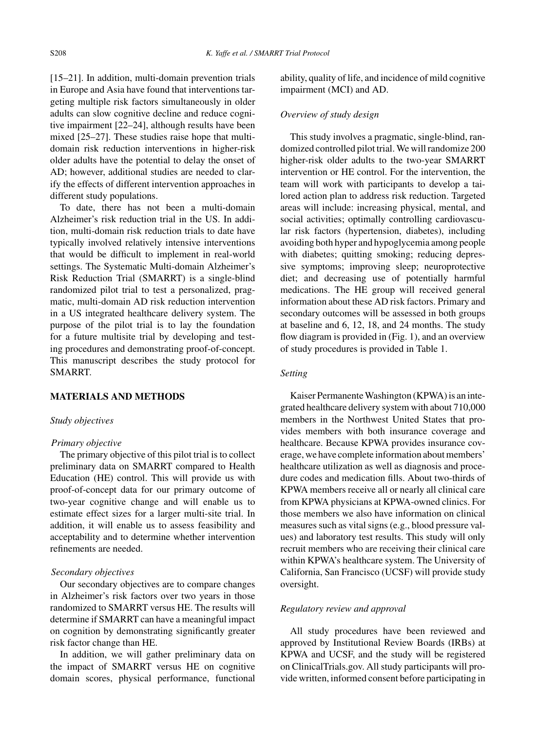[15–21]. In addition, multi-domain prevention trials in Europe and Asia have found that interventions targeting multiple risk factors simultaneously in older adults can slow cognitive decline and reduce cognitive impairment [22–24], although results have been mixed [25–27]. These studies raise hope that multidomain risk reduction interventions in higher-risk older adults have the potential to delay the onset of AD; however, additional studies are needed to clarify the effects of different intervention approaches in different study populations.

To date, there has not been a multi-domain Alzheimer's risk reduction trial in the US. In addition, multi-domain risk reduction trials to date have typically involved relatively intensive interventions that would be difficult to implement in real-world settings. The Systematic Multi-domain Alzheimer's Risk Reduction Trial (SMARRT) is a single-blind randomized pilot trial to test a personalized, pragmatic, multi-domain AD risk reduction intervention in a US integrated healthcare delivery system. The purpose of the pilot trial is to lay the foundation for a future multisite trial by developing and testing procedures and demonstrating proof-of-concept. This manuscript describes the study protocol for SMARRT.

#### **MATERIALS AND METHODS**

# *Study objectives*

#### *Primary objective*

The primary objective of this pilot trial is to collect preliminary data on SMARRT compared to Health Education (HE) control. This will provide us with proof-of-concept data for our primary outcome of two-year cognitive change and will enable us to estimate effect sizes for a larger multi-site trial. In addition, it will enable us to assess feasibility and acceptability and to determine whether intervention refinements are needed.

#### *Secondary objectives*

Our secondary objectives are to compare changes in Alzheimer's risk factors over two years in those randomized to SMARRT versus HE. The results will determine if SMARRT can have a meaningful impact on cognition by demonstrating significantly greater risk factor change than HE.

In addition, we will gather preliminary data on the impact of SMARRT versus HE on cognitive domain scores, physical performance, functional ability, quality of life, and incidence of mild cognitive impairment (MCI) and AD.

#### *Overview of study design*

This study involves a pragmatic, single-blind, randomized controlled pilot trial. We will randomize 200 higher-risk older adults to the two-year SMARRT intervention or HE control. For the intervention, the team will work with participants to develop a tailored action plan to address risk reduction. Targeted areas will include: increasing physical, mental, and social activities; optimally controlling cardiovascular risk factors (hypertension, diabetes), including avoiding both hyper and hypoglycemia among people with diabetes; quitting smoking; reducing depressive symptoms; improving sleep; neuroprotective diet; and decreasing use of potentially harmful medications. The HE group will received general information about these AD risk factors. Primary and secondary outcomes will be assessed in both groups at baseline and 6, 12, 18, and 24 months. The study flow diagram is provided in (Fig. 1), and an overview of study procedures is provided in Table 1.

## *Setting*

Kaiser Permanente Washington (KPWA) is an integrated healthcare delivery system with about 710,000 members in the Northwest United States that provides members with both insurance coverage and healthcare. Because KPWA provides insurance coverage, we have complete information about members' healthcare utilization as well as diagnosis and procedure codes and medication fills. About two-thirds of KPWA members receive all or nearly all clinical care from KPWA physicians at KPWA-owned clinics. For those members we also have information on clinical measures such as vital signs (e.g., blood pressure values) and laboratory test results. This study will only recruit members who are receiving their clinical care within KPWA's healthcare system. The University of California, San Francisco (UCSF) will provide study oversight.

#### *Regulatory review and approval*

All study procedures have been reviewed and approved by Institutional Review Boards (IRBs) at KPWA and UCSF, and the study will be registered on ClinicalTrials.gov. All study participants will provide written, informed consent before participating in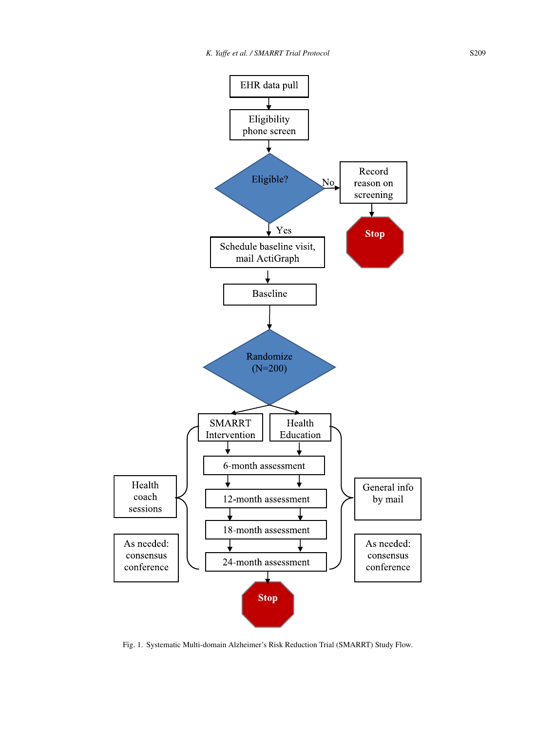

Fig. 1. Systematic Multi-domain Alzheimer's Risk Reduction Trial (SMARRT) Study Flow.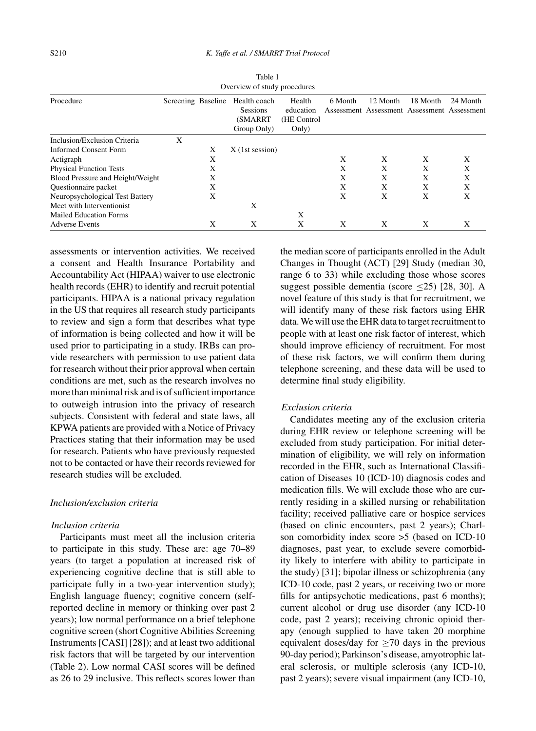| OVERVIEW OF SHILLY PROCEDUITES   |                    |   |                                                           |                                             |         |          |                                                         |          |  |
|----------------------------------|--------------------|---|-----------------------------------------------------------|---------------------------------------------|---------|----------|---------------------------------------------------------|----------|--|
| Procedure                        | Screening Baseline |   | Health coach<br><b>Sessions</b><br>(SMARRT<br>Group Only) | Health<br>education<br>(HE Control<br>Only) | 6 Month | 12 Month | 18 Month<br>Assessment Assessment Assessment Assessment | 24 Month |  |
| Inclusion/Exclusion Criteria     | X                  |   |                                                           |                                             |         |          |                                                         |          |  |
| <b>Informed Consent Form</b>     |                    | X | $X$ (1st session)                                         |                                             |         |          |                                                         |          |  |
| Actigraph                        |                    | X |                                                           |                                             | X       | X        | X                                                       | X        |  |
| <b>Physical Function Tests</b>   |                    | X |                                                           |                                             | X       | X        | X                                                       | X        |  |
| Blood Pressure and Height/Weight |                    | X |                                                           |                                             | X       | X        | X                                                       | X        |  |
| Questionnaire packet             |                    | X |                                                           |                                             | X       | X        | X                                                       | X        |  |
| Neuropsychological Test Battery  |                    | X |                                                           |                                             | X       | X        | X                                                       | X        |  |
| Meet with Interventionist        |                    |   | X                                                         |                                             |         |          |                                                         |          |  |
| <b>Mailed Education Forms</b>    |                    |   |                                                           | X                                           |         |          |                                                         |          |  |
| <b>Adverse Events</b>            |                    | X | X                                                         | X                                           | X       | X        | X                                                       | X        |  |

Table 1  $\mathbf{w}$ iew of study procedur

assessments or intervention activities. We received a consent and Health Insurance Portability and Accountability Act (HIPAA) waiver to use electronic health records (EHR) to identify and recruit potential participants. HIPAA is a national privacy regulation in the US that requires all research study participants to review and sign a form that describes what type of information is being collected and how it will be used prior to participating in a study. IRBs can provide researchers with permission to use patient data for research without their prior approval when certain conditions are met, such as the research involves no more than minimal risk and is of sufficient importance to outweigh intrusion into the privacy of research subjects. Consistent with federal and state laws, all KPWA patients are provided with a Notice of Privacy Practices stating that their information may be used for research. Patients who have previously requested not to be contacted or have their records reviewed for research studies will be excluded.

# *Inclusion/exclusion criteria*

#### *Inclusion criteria*

Participants must meet all the inclusion criteria to participate in this study. These are: age 70–89 years (to target a population at increased risk of experiencing cognitive decline that is still able to participate fully in a two-year intervention study); English language fluency; cognitive concern (selfreported decline in memory or thinking over past 2 years); low normal performance on a brief telephone cognitive screen (short Cognitive Abilities Screening Instruments [CASI] [28]); and at least two additional risk factors that will be targeted by our intervention (Table 2). Low normal CASI scores will be defined as 26 to 29 inclusive. This reflects scores lower than

the median score of participants enrolled in the Adult Changes in Thought (ACT) [29] Study (median 30, range 6 to 33) while excluding those whose scores suggest possible dementia (score ≤25) [28, 30]. A novel feature of this study is that for recruitment, we will identify many of these risk factors using EHR data. We will use the EHR data to target recruitment to people with at least one risk factor of interest, which should improve efficiency of recruitment. For most of these risk factors, we will confirm them during telephone screening, and these data will be used to determine final study eligibility.

## *Exclusion criteria*

Candidates meeting any of the exclusion criteria during EHR review or telephone screening will be excluded from study participation. For initial determination of eligibility, we will rely on information recorded in the EHR, such as International Classification of Diseases 10 (ICD-10) diagnosis codes and medication fills. We will exclude those who are currently residing in a skilled nursing or rehabilitation facility; received palliative care or hospice services (based on clinic encounters, past 2 years); Charlson comorbidity index score >5 (based on ICD-10 diagnoses, past year, to exclude severe comorbidity likely to interfere with ability to participate in the study) [31]; bipolar illness or schizophrenia (any ICD-10 code, past 2 years, or receiving two or more fills for antipsychotic medications, past 6 months); current alcohol or drug use disorder (any ICD-10 code, past 2 years); receiving chronic opioid therapy (enough supplied to have taken 20 morphine equivalent doses/day for  $\geq$ 70 days in the previous 90-day period); Parkinson's disease, amyotrophic lateral sclerosis, or multiple sclerosis (any ICD-10, past 2 years); severe visual impairment (any ICD-10,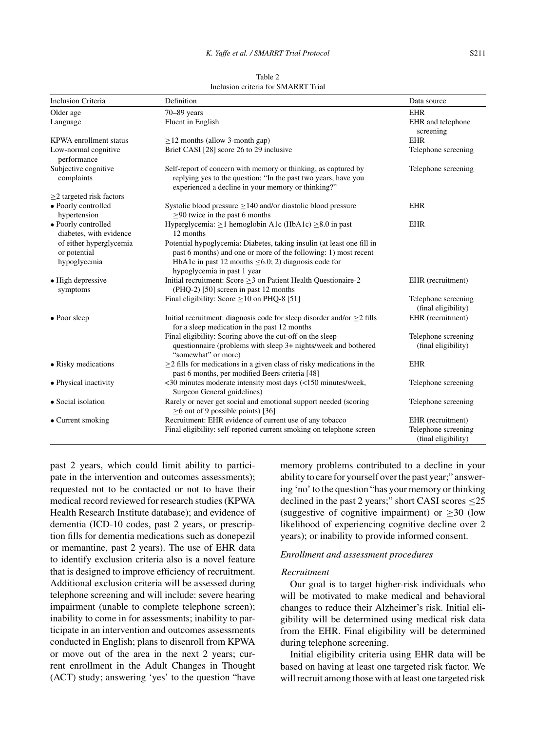#### *K. Yaffe et al. / SMARRT Trial Protocol* S211

| <b>Inclusion Criteria</b>                               | Definition                                                                                                                                                                                                                             | Data source                                |  |
|---------------------------------------------------------|----------------------------------------------------------------------------------------------------------------------------------------------------------------------------------------------------------------------------------------|--------------------------------------------|--|
| Older age                                               | $70 - 89$ years                                                                                                                                                                                                                        | <b>EHR</b>                                 |  |
| Language                                                | Fluent in English                                                                                                                                                                                                                      | EHR and telephone<br>screening             |  |
| KPWA enrollment status                                  | $\geq$ 12 months (allow 3-month gap)                                                                                                                                                                                                   | <b>EHR</b>                                 |  |
| Low-normal cognitive<br>performance                     | Brief CASI [28] score 26 to 29 inclusive                                                                                                                                                                                               | Telephone screening                        |  |
| Subjective cognitive<br>complaints                      | Self-report of concern with memory or thinking, as captured by<br>replying yes to the question: "In the past two years, have you<br>experienced a decline in your memory or thinking?"                                                 | Telephone screening                        |  |
| $\geq$ 2 targeted risk factors                          |                                                                                                                                                                                                                                        |                                            |  |
| • Poorly controlled<br>hypertension                     | Systolic blood pressure $\geq$ 140 and/or diastolic blood pressure<br>$\geq$ 90 twice in the past 6 months                                                                                                                             | <b>EHR</b>                                 |  |
| • Poorly controlled<br>diabetes, with evidence          | Hyperglycemia: $\geq$ 1 hemoglobin A1c (HbA1c) $\geq$ 8.0 in past<br>12 months                                                                                                                                                         | <b>EHR</b>                                 |  |
| of either hyperglycemia<br>or potential<br>hypoglycemia | Potential hypoglycemia: Diabetes, taking insulin (at least one fill in<br>past 6 months) and one or more of the following: 1) most recent<br>HbA1c in past 12 months $\leq 6.0$ ; 2) diagnosis code for<br>hypoglycemia in past 1 year |                                            |  |
| • High depressive<br>symptoms                           | Initial recruitment: Score > 3 on Patient Health Questionaire-2<br>(PHQ-2) [50] screen in past 12 months                                                                                                                               | EHR (recruitment)                          |  |
|                                                         | Final eligibility: Score $\geq$ 10 on PHQ-8 [51]                                                                                                                                                                                       | Telephone screening<br>(final eligibility) |  |
| • Poor sleep                                            | Initial recruitment: diagnosis code for sleep disorder and/or $\geq$ 2 fills<br>for a sleep medication in the past 12 months                                                                                                           | EHR (recruitment)                          |  |
|                                                         | Final eligibility: Scoring above the cut-off on the sleep<br>questionnaire (problems with sleep 3+ nights/week and bothered<br>"somewhat" or more)                                                                                     | Telephone screening<br>(final eligibility) |  |
| • Risky medications                                     | $\geq$ 2 fills for medications in a given class of risky medications in the<br>past 6 months, per modified Beers criteria [48]                                                                                                         | <b>EHR</b>                                 |  |
| • Physical inactivity                                   | <30 minutes moderate intensity most days (<150 minutes/week,<br>Surgeon General guidelines)                                                                                                                                            | Telephone screening                        |  |
| • Social isolation                                      | Rarely or never get social and emotional support needed (scoring<br>$\geq$ 6 out of 9 possible points) [36]                                                                                                                            | Telephone screening                        |  |
| • Current smoking                                       | Recruitment: EHR evidence of current use of any tobacco                                                                                                                                                                                | EHR (recruitment)                          |  |
|                                                         | Final eligibility: self-reported current smoking on telephone screen                                                                                                                                                                   | Telephone screening<br>(final eligibility) |  |

Table 2 Inclusion criteria for SMARRT Trial

past 2 years, which could limit ability to participate in the intervention and outcomes assessments); requested not to be contacted or not to have their medical record reviewed for research studies (KPWA Health Research Institute database); and evidence of dementia (ICD-10 codes, past 2 years, or prescription fills for dementia medications such as donepezil or memantine, past 2 years). The use of EHR data to identify exclusion criteria also is a novel feature that is designed to improve efficiency of recruitment. Additional exclusion criteria will be assessed during telephone screening and will include: severe hearing impairment (unable to complete telephone screen); inability to come in for assessments; inability to participate in an intervention and outcomes assessments conducted in English; plans to disenroll from KPWA or move out of the area in the next 2 years; current enrollment in the Adult Changes in Thought (ACT) study; answering 'yes' to the question "have

memory problems contributed to a decline in your ability to care for yourself over the past year;" answering 'no' to the question "has your memory or thinking declined in the past 2 years;" short CASI scores  $\leq 25$ (suggestive of cognitive impairment) or  $\geq 30$  (low likelihood of experiencing cognitive decline over 2 years); or inability to provide informed consent.

#### *Enrollment and assessment procedures*

#### *Recruitment*

Our goal is to target higher-risk individuals who will be motivated to make medical and behavioral changes to reduce their Alzheimer's risk. Initial eligibility will be determined using medical risk data from the EHR. Final eligibility will be determined during telephone screening.

Initial eligibility criteria using EHR data will be based on having at least one targeted risk factor. We will recruit among those with at least one targeted risk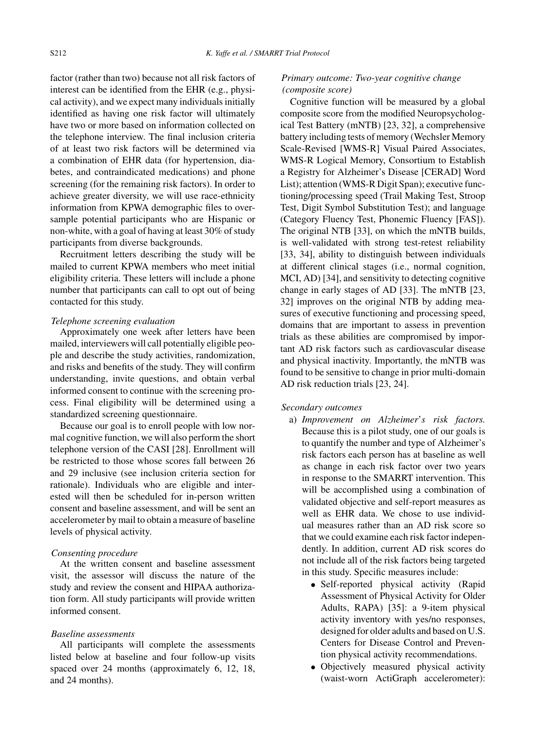factor (rather than two) because not all risk factors of interest can be identified from the EHR (e.g., physical activity), and we expect many individuals initially identified as having one risk factor will ultimately have two or more based on information collected on the telephone interview. The final inclusion criteria of at least two risk factors will be determined via a combination of EHR data (for hypertension, diabetes, and contraindicated medications) and phone screening (for the remaining risk factors). In order to achieve greater diversity, we will use race-ethnicity information from KPWA demographic files to oversample potential participants who are Hispanic or non-white, with a goal of having at least 30% of study participants from diverse backgrounds.

Recruitment letters describing the study will be mailed to current KPWA members who meet initial eligibility criteria. These letters will include a phone number that participants can call to opt out of being contacted for this study.

## *Telephone screening evaluation*

Approximately one week after letters have been mailed, interviewers will call potentially eligible people and describe the study activities, randomization, and risks and benefits of the study. They will confirm understanding, invite questions, and obtain verbal informed consent to continue with the screening process. Final eligibility will be determined using a standardized screening questionnaire.

Because our goal is to enroll people with low normal cognitive function, we will also perform the short telephone version of the CASI [28]. Enrollment will be restricted to those whose scores fall between 26 and 29 inclusive (see inclusion criteria section for rationale). Individuals who are eligible and interested will then be scheduled for in-person written consent and baseline assessment, and will be sent an accelerometer by mail to obtain a measure of baseline levels of physical activity.

# *Consenting procedure*

At the written consent and baseline assessment visit, the assessor will discuss the nature of the study and review the consent and HIPAA authorization form. All study participants will provide written informed consent.

# *Baseline assessments*

All participants will complete the assessments listed below at baseline and four follow-up visits spaced over 24 months (approximately 6, 12, 18, and 24 months).

# *Primary outcome: Two-year cognitive change (composite score)*

Cognitive function will be measured by a global composite score from the modified Neuropsychological Test Battery (mNTB) [23, 32], a comprehensive battery including tests of memory (Wechsler Memory Scale-Revised [WMS-R] Visual Paired Associates, WMS-R Logical Memory, Consortium to Establish a Registry for Alzheimer's Disease [CERAD] Word List); attention (WMS-R Digit Span); executive functioning/processing speed (Trail Making Test, Stroop Test, Digit Symbol Substitution Test); and language (Category Fluency Test, Phonemic Fluency [FAS]). The original NTB [33], on which the mNTB builds, is well-validated with strong test-retest reliability [33, 34], ability to distinguish between individuals at different clinical stages (i.e., normal cognition, MCI, AD) [34], and sensitivity to detecting cognitive change in early stages of AD [33]. The mNTB [23, 32] improves on the original NTB by adding measures of executive functioning and processing speed, domains that are important to assess in prevention trials as these abilities are compromised by important AD risk factors such as cardiovascular disease and physical inactivity. Importantly, the mNTB was found to be sensitive to change in prior multi-domain AD risk reduction trials [23, 24].

## *Secondary outcomes*

- a) *Improvement on Alzheimer*'*s risk factors.* Because this is a pilot study, one of our goals is to quantify the number and type of Alzheimer's risk factors each person has at baseline as well as change in each risk factor over two years in response to the SMARRT intervention. This will be accomplished using a combination of validated objective and self-report measures as well as EHR data. We chose to use individual measures rather than an AD risk score so that we could examine each risk factor independently. In addition, current AD risk scores do not include all of the risk factors being targeted in this study. Specific measures include:
	- Self-reported physical activity (Rapid Assessment of Physical Activity for Older Adults, RAPA) [35]: a 9-item physical activity inventory with yes/no responses, designed for older adults and based on U.S. Centers for Disease Control and Prevention physical activity recommendations.
	- Objectively measured physical activity (waist-worn ActiGraph accelerometer):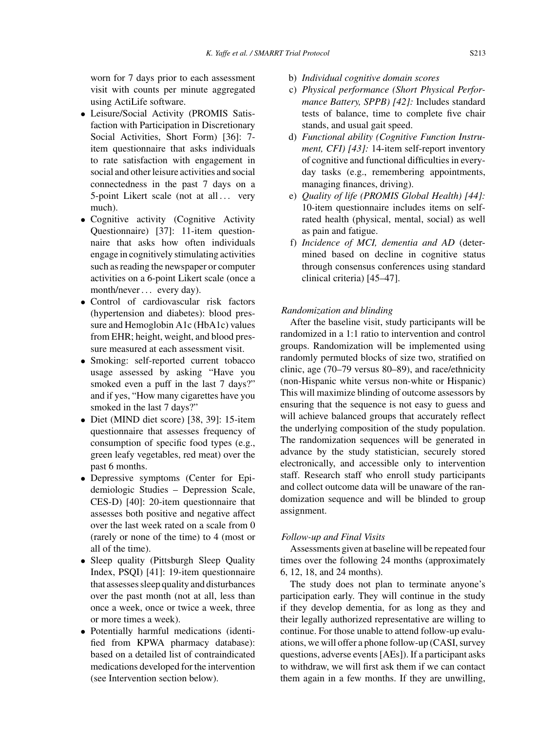worn for 7 days prior to each assessment visit with counts per minute aggregated using ActiLife software.

- Leisure/Social Activity (PROMIS Satisfaction with Participation in Discretionary Social Activities, Short Form) [36]: 7 item questionnaire that asks individuals to rate satisfaction with engagement in social and other leisure activities and social connectedness in the past 7 days on a 5-point Likert scale (not at all... very much).
- Cognitive activity (Cognitive Activity Questionnaire) [37]: 11-item questionnaire that asks how often individuals engage in cognitively stimulating activities such as reading the newspaper or computer activities on a 6-point Likert scale (once a month/never . . . every day).
- Control of cardiovascular risk factors (hypertension and diabetes): blood pressure and Hemoglobin A1c (HbA1c) values from EHR; height, weight, and blood pressure measured at each assessment visit.
- Smoking: self-reported current tobacco usage assessed by asking "Have you smoked even a puff in the last 7 days?" and if yes, "How many cigarettes have you smoked in the last 7 days?"
- Diet (MIND diet score) [38, 39]: 15-item questionnaire that assesses frequency of consumption of specific food types (e.g., green leafy vegetables, red meat) over the past 6 months.
- Depressive symptoms (Center for Epidemiologic Studies – Depression Scale, CES-D) [40]: 20-item questionnaire that assesses both positive and negative affect over the last week rated on a scale from 0 (rarely or none of the time) to 4 (most or all of the time).
- Sleep quality (Pittsburgh Sleep Quality Index, PSQI) [41]: 19-item questionnaire that assesses sleep quality and disturbances over the past month (not at all, less than once a week, once or twice a week, three or more times a week).
- Potentially harmful medications (identified from KPWA pharmacy database): based on a detailed list of contraindicated medications developed for the intervention (see Intervention section below).
- b) *Individual cognitive domain scores*
- c) *Physical performance (Short Physical Performance Battery, SPPB) [42]:* Includes standard tests of balance, time to complete five chair stands, and usual gait speed.
- d) *Functional ability (Cognitive Function Instrument, CFI) [43]:* 14-item self-report inventory of cognitive and functional difficulties in everyday tasks (e.g., remembering appointments, managing finances, driving).
- e) *Quality of life (PROMIS Global Health) [44]:* 10-item questionnaire includes items on selfrated health (physical, mental, social) as well as pain and fatigue.
- f) *Incidence of MCI, dementia and AD* (determined based on decline in cognitive status through consensus conferences using standard clinical criteria) [45–47].

## *Randomization and blinding*

After the baseline visit, study participants will be randomized in a 1:1 ratio to intervention and control groups. Randomization will be implemented using randomly permuted blocks of size two, stratified on clinic, age (70–79 versus 80–89), and race/ethnicity (non-Hispanic white versus non-white or Hispanic) This will maximize blinding of outcome assessors by ensuring that the sequence is not easy to guess and will achieve balanced groups that accurately reflect the underlying composition of the study population. The randomization sequences will be generated in advance by the study statistician, securely stored electronically, and accessible only to intervention staff. Research staff who enroll study participants and collect outcome data will be unaware of the randomization sequence and will be blinded to group assignment.

#### *Follow-up and Final Visits*

Assessments given at baseline will be repeated four times over the following 24 months (approximately 6, 12, 18, and 24 months).

The study does not plan to terminate anyone's participation early. They will continue in the study if they develop dementia, for as long as they and their legally authorized representative are willing to continue. For those unable to attend follow-up evaluations, we will offer a phone follow-up (CASI, survey questions, adverse events [AEs]). If a participant asks to withdraw, we will first ask them if we can contact them again in a few months. If they are unwilling,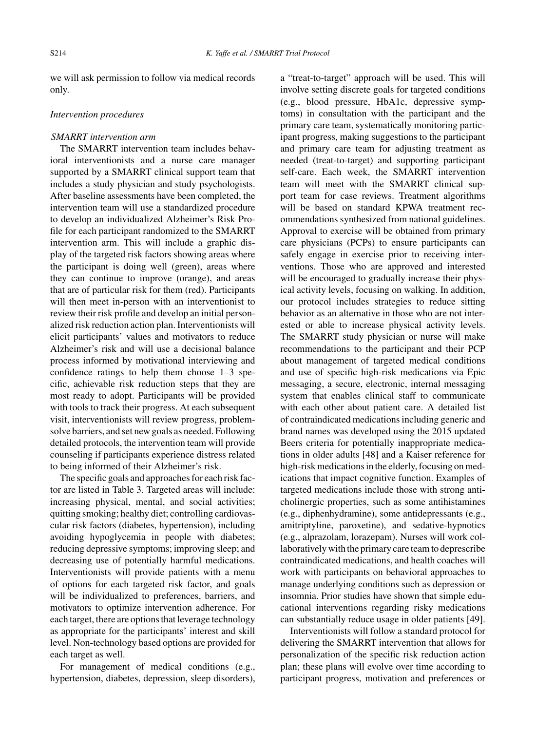we will ask permission to follow via medical records only.

#### *Intervention procedures*

## *SMARRT intervention arm*

The SMARRT intervention team includes behavioral interventionists and a nurse care manager supported by a SMARRT clinical support team that includes a study physician and study psychologists. After baseline assessments have been completed, the intervention team will use a standardized procedure to develop an individualized Alzheimer's Risk Profile for each participant randomized to the SMARRT intervention arm. This will include a graphic display of the targeted risk factors showing areas where the participant is doing well (green), areas where they can continue to improve (orange), and areas that are of particular risk for them (red). Participants will then meet in-person with an interventionist to review their risk profile and develop an initial personalized risk reduction action plan. Interventionists will elicit participants' values and motivators to reduce Alzheimer's risk and will use a decisional balance process informed by motivational interviewing and confidence ratings to help them choose 1–3 specific, achievable risk reduction steps that they are most ready to adopt. Participants will be provided with tools to track their progress. At each subsequent visit, interventionists will review progress, problemsolve barriers, and set new goals as needed. Following detailed protocols, the intervention team will provide counseling if participants experience distress related to being informed of their Alzheimer's risk.

The specific goals and approaches for each risk factor are listed in Table 3. Targeted areas will include: increasing physical, mental, and social activities; quitting smoking; healthy diet; controlling cardiovascular risk factors (diabetes, hypertension), including avoiding hypoglycemia in people with diabetes; reducing depressive symptoms; improving sleep; and decreasing use of potentially harmful medications. Interventionists will provide patients with a menu of options for each targeted risk factor, and goals will be individualized to preferences, barriers, and motivators to optimize intervention adherence. For each target, there are options that leverage technology as appropriate for the participants' interest and skill level. Non-technology based options are provided for each target as well.

For management of medical conditions (e.g., hypertension, diabetes, depression, sleep disorders), a "treat-to-target" approach will be used. This will involve setting discrete goals for targeted conditions (e.g., blood pressure, HbA1c, depressive symptoms) in consultation with the participant and the primary care team, systematically monitoring participant progress, making suggestions to the participant and primary care team for adjusting treatment as needed (treat-to-target) and supporting participant self-care. Each week, the SMARRT intervention team will meet with the SMARRT clinical support team for case reviews. Treatment algorithms will be based on standard KPWA treatment recommendations synthesized from national guidelines. Approval to exercise will be obtained from primary care physicians (PCPs) to ensure participants can safely engage in exercise prior to receiving interventions. Those who are approved and interested will be encouraged to gradually increase their physical activity levels, focusing on walking. In addition, our protocol includes strategies to reduce sitting behavior as an alternative in those who are not interested or able to increase physical activity levels. The SMARRT study physician or nurse will make recommendations to the participant and their PCP about management of targeted medical conditions and use of specific high-risk medications via Epic messaging, a secure, electronic, internal messaging system that enables clinical staff to communicate with each other about patient care. A detailed list of contraindicated medications including generic and brand names was developed using the 2015 updated Beers criteria for potentially inappropriate medications in older adults [48] and a Kaiser reference for high-risk medications in the elderly, focusing on medications that impact cognitive function. Examples of targeted medications include those with strong anticholinergic properties, such as some antihistamines (e.g., diphenhydramine), some antidepressants (e.g., amitriptyline, paroxetine), and sedative-hypnotics (e.g., alprazolam, lorazepam). Nurses will work collaboratively with the primary care team to deprescribe contraindicated medications, and health coaches will work with participants on behavioral approaches to manage underlying conditions such as depression or insomnia. Prior studies have shown that simple educational interventions regarding risky medications can substantially reduce usage in older patients [49].

Interventionists will follow a standard protocol for delivering the SMARRT intervention that allows for personalization of the specific risk reduction action plan; these plans will evolve over time according to participant progress, motivation and preferences or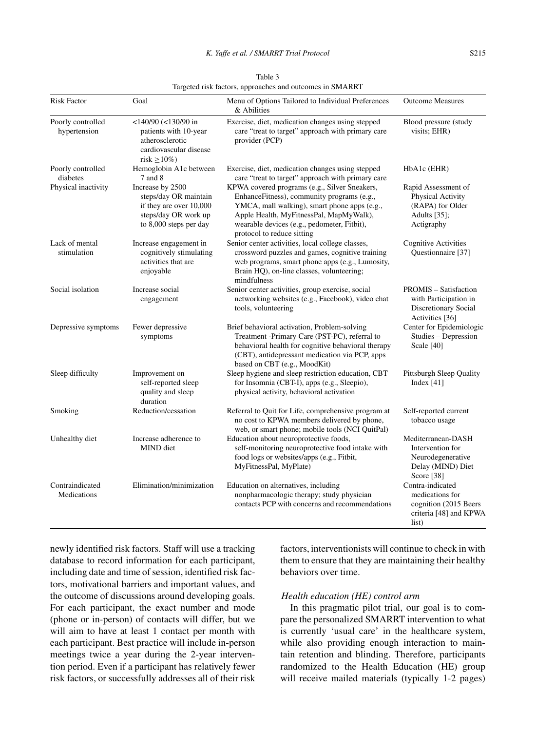#### *K. Yaffe et al. / SMARRT Trial Protocol* S215

| <b>Risk Factor</b>                | Goal                                                                                                                   | Menu of Options Tailored to Individual Preferences<br>& Abilities                                                                                                                                                                                                   | <b>Outcome Measures</b>                                                                          |
|-----------------------------------|------------------------------------------------------------------------------------------------------------------------|---------------------------------------------------------------------------------------------------------------------------------------------------------------------------------------------------------------------------------------------------------------------|--------------------------------------------------------------------------------------------------|
| Poorly controlled<br>hypertension | $<$ 140/90 (<130/90 in<br>patients with 10-year<br>atherosclerotic<br>cardiovascular disease<br>risk $\geq 10\%$ )     | Exercise, diet, medication changes using stepped<br>care "treat to target" approach with primary care<br>provider (PCP)                                                                                                                                             | Blood pressure (study<br>visits; EHR)                                                            |
| Poorly controlled<br>diabetes     | Hemoglobin A1c between<br>7 and 8                                                                                      | Exercise, diet, medication changes using stepped<br>care "treat to target" approach with primary care                                                                                                                                                               | HbA1c (EHR)                                                                                      |
| Physical inactivity               | Increase by 2500<br>steps/day OR maintain<br>if they are over 10,000<br>steps/day OR work up<br>to 8,000 steps per day | KPWA covered programs (e.g., Silver Sneakers,<br>EnhanceFitness), community programs (e.g.,<br>YMCA, mall walking), smart phone apps (e.g.,<br>Apple Health, MyFitnessPal, MapMyWalk),<br>wearable devices (e.g., pedometer, Fitbit),<br>protocol to reduce sitting | Rapid Assessment of<br>Physical Activity<br>(RAPA) for Older<br>Adults $[35]$ ;<br>Actigraphy    |
| Lack of mental<br>stimulation     | Increase engagement in<br>cognitively stimulating<br>activities that are<br>enjoyable                                  | Senior center activities, local college classes,<br>crossword puzzles and games, cognitive training<br>web programs, smart phone apps (e.g., Lumosity,<br>Brain HQ), on-line classes, volunteering;<br>mindfulness                                                  | <b>Cognitive Activities</b><br>Questionnaire [37]                                                |
| Social isolation                  | Increase social<br>engagement                                                                                          | Senior center activities, group exercise, social<br>networking websites (e.g., Facebook), video chat<br>tools, volunteering                                                                                                                                         | <b>PROMIS</b> – Satisfaction<br>with Participation in<br>Discretionary Social<br>Activities [36] |
| Depressive symptoms               | Fewer depressive<br>symptoms                                                                                           | Brief behavioral activation, Problem-solving<br>Treatment -Primary Care (PST-PC), referral to<br>behavioral health for cognitive behavioral therapy<br>(CBT), antidepressant medication via PCP, apps<br>based on CBT (e.g., MoodKit)                               | Center for Epidemiologic<br>Studies - Depression<br>Scale [40]                                   |
| Sleep difficulty                  | Improvement on<br>self-reported sleep<br>quality and sleep<br>duration                                                 | Sleep hygiene and sleep restriction education, CBT<br>for Insomnia (CBT-I), apps (e.g., Sleepio),<br>physical activity, behavioral activation                                                                                                                       | Pittsburgh Sleep Quality<br>Index $[41]$                                                         |
| Smoking                           | Reduction/cessation                                                                                                    | Referral to Quit for Life, comprehensive program at<br>no cost to KPWA members delivered by phone,<br>web, or smart phone; mobile tools (NCI QuitPal)                                                                                                               | Self-reported current<br>tobacco usage                                                           |
| Unhealthy diet                    | Increase adherence to<br>MIND diet                                                                                     | Education about neuroprotective foods,<br>self-monitoring neuroprotective food intake with<br>food logs or websites/apps (e.g., Fitbit,<br>MyFitnessPal, MyPlate)                                                                                                   | Mediterranean-DASH<br>Intervention for<br>Neurodegenerative<br>Delay (MIND) Diet<br>Score [38]   |
| Contraindicated<br>Medications    | Elimination/minimization                                                                                               | Education on alternatives, including<br>nonpharmacologic therapy; study physician<br>contacts PCP with concerns and recommendations                                                                                                                                 | Contra-indicated<br>medications for<br>cognition (2015 Beers<br>criteria [48] and KPWA<br>list)  |

Table 3 Targeted risk factors, approaches and outcomes in SMARRT

newly identified risk factors. Staff will use a tracking database to record information for each participant, including date and time of session, identified risk factors, motivational barriers and important values, and the outcome of discussions around developing goals. For each participant, the exact number and mode (phone or in-person) of contacts will differ, but we will aim to have at least 1 contact per month with each participant. Best practice will include in-person meetings twice a year during the 2-year intervention period. Even if a participant has relatively fewer risk factors, or successfully addresses all of their risk factors, interventionists will continue to check in with them to ensure that they are maintaining their healthy behaviors over time.

# *Health education (HE) control arm*

In this pragmatic pilot trial, our goal is to compare the personalized SMARRT intervention to what is currently 'usual care' in the healthcare system, while also providing enough interaction to maintain retention and blinding. Therefore, participants randomized to the Health Education (HE) group will receive mailed materials (typically 1-2 pages)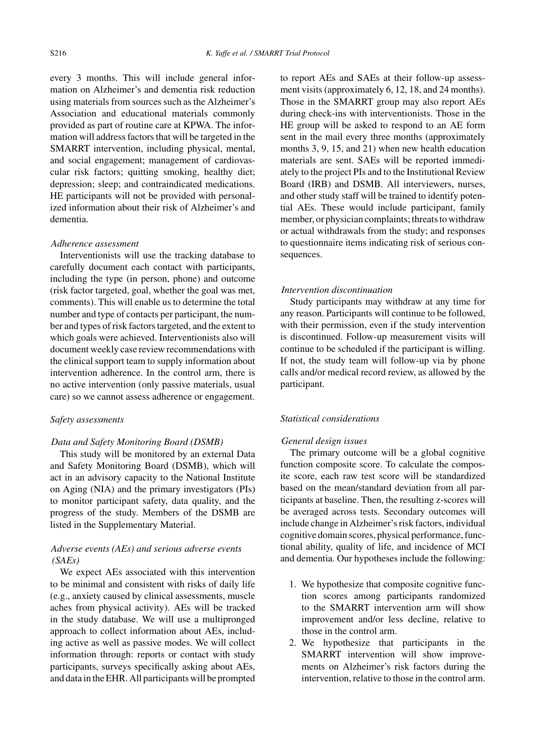every 3 months. This will include general information on Alzheimer's and dementia risk reduction using materials from sources such as the Alzheimer's Association and educational materials commonly provided as part of routine care at KPWA. The information will address factors that will be targeted in the SMARRT intervention, including physical, mental, and social engagement; management of cardiovascular risk factors; quitting smoking, healthy diet; depression; sleep; and contraindicated medications. HE participants will not be provided with personalized information about their risk of Alzheimer's and dementia.

#### *Adherence assessment*

Interventionists will use the tracking database to carefully document each contact with participants, including the type (in person, phone) and outcome (risk factor targeted, goal, whether the goal was met, comments). This will enable us to determine the total number and type of contacts per participant, the number and types of risk factors targeted, and the extent to which goals were achieved. Interventionists also will document weekly case review recommendations with the clinical support team to supply information about intervention adherence. In the control arm, there is no active intervention (only passive materials, usual care) so we cannot assess adherence or engagement.

#### *Safety assessments*

## *Data and Safety Monitoring Board (DSMB)*

This study will be monitored by an external Data and Safety Monitoring Board (DSMB), which will act in an advisory capacity to the National Institute on Aging (NIA) and the primary investigators (PIs) to monitor participant safety, data quality, and the progress of the study. Members of the DSMB are listed in the Supplementary Material.

# *Adverse events (AEs) and serious adverse events (SAEs)*

We expect AEs associated with this intervention to be minimal and consistent with risks of daily life (e.g., anxiety caused by clinical assessments, muscle aches from physical activity). AEs will be tracked in the study database. We will use a multipronged approach to collect information about AEs, including active as well as passive modes. We will collect information through: reports or contact with study participants, surveys specifically asking about AEs, and data in the EHR. All participants will be prompted

to report AEs and SAEs at their follow-up assessment visits (approximately 6, 12, 18, and 24 months). Those in the SMARRT group may also report AEs during check-ins with interventionists. Those in the HE group will be asked to respond to an AE form sent in the mail every three months (approximately months 3, 9, 15, and 21) when new health education materials are sent. SAEs will be reported immediately to the project PIs and to the Institutional Review Board (IRB) and DSMB. All interviewers, nurses, and other study staff will be trained to identify potential AEs. These would include participant, family member, or physician complaints; threats to withdraw or actual withdrawals from the study; and responses to questionnaire items indicating risk of serious consequences.

#### *Intervention discontinuation*

Study participants may withdraw at any time for any reason. Participants will continue to be followed, with their permission, even if the study intervention is discontinued. Follow-up measurement visits will continue to be scheduled if the participant is willing. If not, the study team will follow-up via by phone calls and/or medical record review, as allowed by the participant.

#### *Statistical considerations*

## *General design issues*

The primary outcome will be a global cognitive function composite score. To calculate the composite score, each raw test score will be standardized based on the mean/standard deviation from all participants at baseline. Then, the resulting z-scores will be averaged across tests. Secondary outcomes will include change in Alzheimer's risk factors, individual cognitive domain scores, physical performance, functional ability, quality of life, and incidence of MCI and dementia. Our hypotheses include the following:

- 1. We hypothesize that composite cognitive function scores among participants randomized to the SMARRT intervention arm will show improvement and/or less decline, relative to those in the control arm.
- 2. We hypothesize that participants in the SMARRT intervention will show improvements on Alzheimer's risk factors during the intervention, relative to those in the control arm.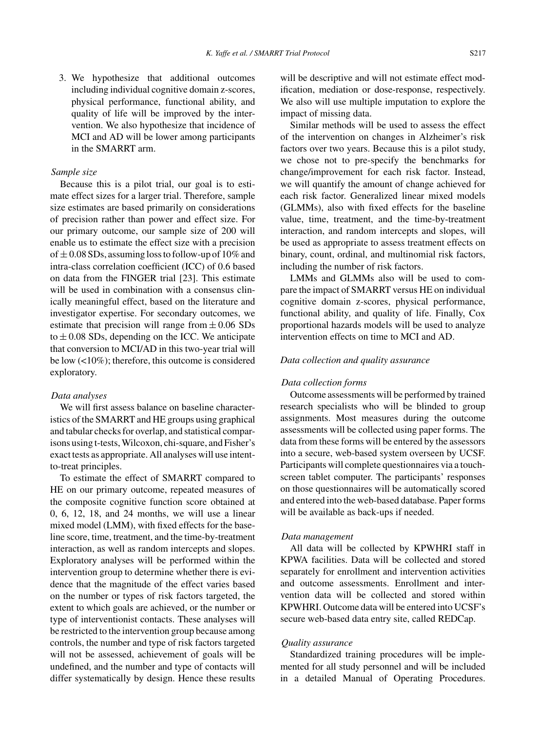3. We hypothesize that additional outcomes including individual cognitive domain z-scores, physical performance, functional ability, and quality of life will be improved by the intervention. We also hypothesize that incidence of MCI and AD will be lower among participants in the SMARRT arm.

# *Sample size*

Because this is a pilot trial, our goal is to estimate effect sizes for a larger trial. Therefore, sample size estimates are based primarily on considerations of precision rather than power and effect size. For our primary outcome, our sample size of 200 will enable us to estimate the effect size with a precision of  $\pm$  0.08 SDs, assuming loss to follow-up of 10% and intra-class correlation coefficient (ICC) of 0.6 based on data from the FINGER trial [23]. This estimate will be used in combination with a consensus clinically meaningful effect, based on the literature and investigator expertise. For secondary outcomes, we estimate that precision will range from  $\pm 0.06$  SDs to  $\pm$  0.08 SDs, depending on the ICC. We anticipate that conversion to MCI/AD in this two-year trial will be low (<10%); therefore, this outcome is considered exploratory.

# *Data analyses*

We will first assess balance on baseline characteristics of the SMARRT and HE groups using graphical and tabular checks for overlap, and statistical comparisons using t-tests, Wilcoxon, chi-square, and Fisher's exact tests as appropriate. All analyses will use intentto-treat principles.

To estimate the effect of SMARRT compared to HE on our primary outcome, repeated measures of the composite cognitive function score obtained at 0, 6, 12, 18, and 24 months, we will use a linear mixed model (LMM), with fixed effects for the baseline score, time, treatment, and the time-by-treatment interaction, as well as random intercepts and slopes. Exploratory analyses will be performed within the intervention group to determine whether there is evidence that the magnitude of the effect varies based on the number or types of risk factors targeted, the extent to which goals are achieved, or the number or type of interventionist contacts. These analyses will be restricted to the intervention group because among controls, the number and type of risk factors targeted will not be assessed, achievement of goals will be undefined, and the number and type of contacts will differ systematically by design. Hence these results

will be descriptive and will not estimate effect modification, mediation or dose-response, respectively. We also will use multiple imputation to explore the impact of missing data.

Similar methods will be used to assess the effect of the intervention on changes in Alzheimer's risk factors over two years. Because this is a pilot study, we chose not to pre-specify the benchmarks for change/improvement for each risk factor. Instead, we will quantify the amount of change achieved for each risk factor. Generalized linear mixed models (GLMMs), also with fixed effects for the baseline value, time, treatment, and the time-by-treatment interaction, and random intercepts and slopes, will be used as appropriate to assess treatment effects on binary, count, ordinal, and multinomial risk factors, including the number of risk factors.

LMMs and GLMMs also will be used to compare the impact of SMARRT versus HE on individual cognitive domain z-scores, physical performance, functional ability, and quality of life. Finally, Cox proportional hazards models will be used to analyze intervention effects on time to MCI and AD.

## *Data collection and quality assurance*

#### *Data collection forms*

Outcome assessments will be performed by trained research specialists who will be blinded to group assignments. Most measures during the outcome assessments will be collected using paper forms. The data from these forms will be entered by the assessors into a secure, web-based system overseen by UCSF. Participants will complete questionnaires via a touchscreen tablet computer. The participants' responses on those questionnaires will be automatically scored and entered into the web-based database. Paper forms will be available as back-ups if needed.

#### *Data management*

All data will be collected by KPWHRI staff in KPWA facilities. Data will be collected and stored separately for enrollment and intervention activities and outcome assessments. Enrollment and intervention data will be collected and stored within KPWHRI. Outcome data will be entered into UCSF's secure web-based data entry site, called REDCap.

## *Quality assurance*

Standardized training procedures will be implemented for all study personnel and will be included in a detailed Manual of Operating Procedures.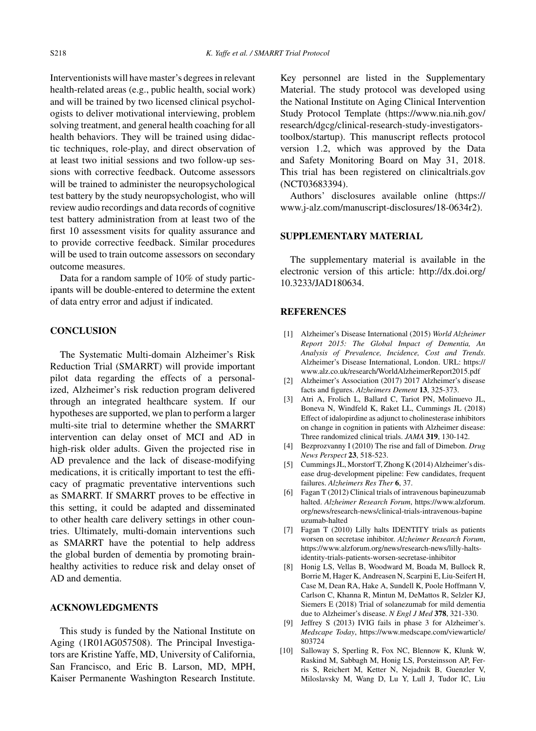Interventionists will have master's degrees in relevant health-related areas (e.g., public health, social work) and will be trained by two licensed clinical psychologists to deliver motivational interviewing, problem solving treatment, and general health coaching for all health behaviors. They will be trained using didactic techniques, role-play, and direct observation of at least two initial sessions and two follow-up sessions with corrective feedback. Outcome assessors will be trained to administer the neuropsychological test battery by the study neuropsychologist, who will review audio recordings and data records of cognitive test battery administration from at least two of the first 10 assessment visits for quality assurance and to provide corrective feedback. Similar procedures will be used to train outcome assessors on secondary outcome measures.

Data for a random sample of 10% of study participants will be double-entered to determine the extent of data entry error and adjust if indicated.

# **CONCLUSION**

The Systematic Multi-domain Alzheimer's Risk Reduction Trial (SMARRT) will provide important pilot data regarding the effects of a personalized, Alzheimer's risk reduction program delivered through an integrated healthcare system. If our hypotheses are supported, we plan to perform a larger multi-site trial to determine whether the SMARRT intervention can delay onset of MCI and AD in high-risk older adults. Given the projected rise in AD prevalence and the lack of disease-modifying medications, it is critically important to test the efficacy of pragmatic preventative interventions such as SMARRT. If SMARRT proves to be effective in this setting, it could be adapted and disseminated to other health care delivery settings in other countries. Ultimately, multi-domain interventions such as SMARRT have the potential to help address the global burden of dementia by promoting brainhealthy activities to reduce risk and delay onset of AD and dementia.

# **ACKNOWLEDGMENTS**

This study is funded by the National Institute on Aging (1R01AG057508). The Principal Investigators are Kristine Yaffe, MD, University of California, San Francisco, and Eric B. Larson, MD, MPH, Kaiser Permanente Washington Research Institute.

Key personnel are listed in the Supplementary Material. The study protocol was developed using the National Institute on Aging Clinical Intervention Study Protocol Template ([https://www.nia.nih.gov/](https://www.nia.nih.gov/research/dgcg/clinical-research-study-investigators-toolbox/startup) [research/dgcg/clinical-research-study-investigators](https://www.nia.nih.gov/research/dgcg/clinical-research-study-investigators-toolbox/startup)toolbox/startup). This manuscript reflects protocol version 1.2, which was approved by the Data and Safety Monitoring Board on May 31, 2018. This trial has been registered on clinicaltrials.gov (NCT03683394).

Authors' disclosures available online [\(https://](https://www.j-alz.com/manuscript-disclosures/18-0634r2) www.j-alz.com/manuscript-disclosures/18-0634r2).

## **SUPPLEMENTARY MATERIAL**

The supplementary material is available in the electronic version of this article: [http://dx.doi.org/](http://dx.doi.org/10.3233/JAD180634) [10.3233/JAD180634.](http://dx.doi.org/10.3233/JAD180634)

## **REFERENCES**

- [1] Alzheimer's Disease International (2015) *World Alzheimer Report 2015: The Global Impact of Dementia, An Analysis of Prevalence, Incidence, Cost and Trends*. Alzheimer's Disease International, London. URL: [https://](https://www.alz.co.uk/research/WorldAlzheimerReport2015.pdf) www.alz.co.uk/research/WorldAlzheimerReport2015.pdf
- [2] Alzheimer's Association (2017) 2017 Alzheimer's disease facts and figures. *Alzheimers Dement* **13**, 325-373.
- [3] Atri A, Frolich L, Ballard C, Tariot PN, Molinuevo JL, Boneva N, Windfeld K, Raket LL, Cummings JL (2018) Effect of idalopirdine as adjunct to cholinesterase inhibitors on change in cognition in patients with Alzheimer disease: Three randomized clinical trials. *JAMA* **319**, 130-142.
- [4] Bezprozvanny I (2010) The rise and fall of Dimebon. *Drug News Perspect* **23**, 518-523.
- [5] Cummings JL, Morstorf T, Zhong K (2014) Alzheimer's disease drug-development pipeline: Few candidates, frequent failures. *Alzheimers Res Ther* **6**, 37.
- [6] Fagan T (2012) Clinical trials of intravenous bapineuzumab halted. *Alzheimer Research Forum*, [https://www.alzforum.](https://www.alzforum.org/news/research-news/clinical-trials-intravenous-bapineuzumab-halted) [org/news/research-news/clinical-trials-intravenous-bapine](https://www.alzforum.org/news/research-news/clinical-trials-intravenous-bapineuzumab-halted) [uzumab-halted](https://www.alzforum.org/news/research-news/clinical-trials-intravenous-bapineuzumab-halted)
- [7] Fagan T (2010) Lilly halts IDENTITY trials as patients worsen on secretase inhibitor. *Alzheimer Research Forum*, [https://www.alzforum.org/news/research-news/lilly-halts](https://www.alzforum.org/news/research-news/lilly-halts-identity-trials-patients-worsen-secretase-inhibitor)identity-trials-patients-worsen-secretase-inhibitor
- [8] Honig LS, Vellas B, Woodward M, Boada M, Bullock R, Borrie M, Hager K, Andreasen N, Scarpini E, Liu-Seifert H, Case M, Dean RA, Hake A, Sundell K, Poole Hoffmann V, Carlson C, Khanna R, Mintun M, DeMattos R, Selzler KJ, Siemers E (2018) Trial of solanezumab for mild dementia due to Alzheimer's disease. *N Engl J Med* **378**, 321-330.
- [9] Jeffrey S (2013) IVIG fails in phase 3 for Alzheimer's. *Medscape Today*, [https://www.medscape.com/viewarticle/](https://www.medscape.com/viewarticle/803724) 803724
- [10] Salloway S, Sperling R, Fox NC, Blennow K, Klunk W, Raskind M, Sabbagh M, Honig LS, Porsteinsson AP, Ferris S, Reichert M, Ketter N, Nejadnik B, Guenzler V, Miloslavsky M, Wang D, Lu Y, Lull J, Tudor IC, Liu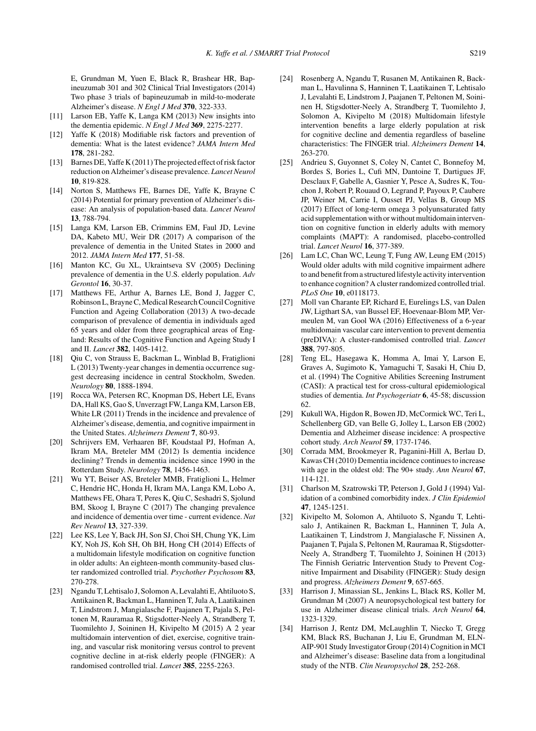E, Grundman M, Yuen E, Black R, Brashear HR, Bapineuzumab 301 and 302 Clinical Trial Investigators (2014) Two phase 3 trials of bapineuzumab in mild-to-moderate Alzheimer's disease. *N Engl J Med* **370**, 322-333.

- [11] Larson EB, Yaffe K, Langa KM (2013) New insights into the dementia epidemic. *N Engl J Med* **369**, 2275-2277.
- [12] Yaffe K (2018) Modifiable risk factors and prevention of dementia: What is the latest evidence? *JAMA Intern Med* **178**, 281-282.
- [13] Barnes DE, Yaffe K (2011) The projected effect of risk factor reduction on Alzheimer's disease prevalence. *Lancet Neurol* **10**, 819-828.
- [14] Norton S, Matthews FE, Barnes DE, Yaffe K, Brayne C (2014) Potential for primary prevention of Alzheimer's disease: An analysis of population-based data. *Lancet Neurol* **13**, 788-794.
- [15] Langa KM, Larson EB, Crimmins EM, Faul JD, Levine DA, Kabeto MU, Weir DR (2017) A comparison of the prevalence of dementia in the United States in 2000 and 2012. *JAMA Intern Med* **177**, 51-58.
- [16] Manton KC, Gu XL, Ukraintseva SV (2005) Declining prevalence of dementia in the U.S. elderly population. *Adv Gerontol* **16**, 30-37.
- [17] Matthews FE, Arthur A, Barnes LE, Bond J, Jagger C, Robinson L, Brayne C, Medical Research Council Cognitive Function and Ageing Collaboration (2013) A two-decade comparison of prevalence of dementia in individuals aged 65 years and older from three geographical areas of England: Results of the Cognitive Function and Ageing Study I and II. *Lancet* **382**, 1405-1412.
- [18] Oiu C, von Strauss E, Backman L, Winblad B, Fratiglioni L (2013) Twenty-year changes in dementia occurrence suggest decreasing incidence in central Stockholm, Sweden. *Neurology* **80**, 1888-1894.
- [19] Rocca WA, Petersen RC, Knopman DS, Hebert LE, Evans DA, Hall KS, Gao S, Unverzagt FW, Langa KM, Larson EB, White LR (2011) Trends in the incidence and prevalence of Alzheimer's disease, dementia, and cognitive impairment in the United States. *Alzheimers Dement* **7**, 80-93.
- [20] Schrijvers EM, Verhaaren BF, Koudstaal PJ, Hofman A, Ikram MA, Breteler MM (2012) Is dementia incidence declining? Trends in dementia incidence since 1990 in the Rotterdam Study. *Neurology* **78**, 1456-1463.
- [21] Wu YT, Beiser AS, Breteler MMB, Fratiglioni L, Helmer C, Hendrie HC, Honda H, Ikram MA, Langa KM, Lobo A, Matthews FE, Ohara T, Peres K, Qiu C, Seshadri S, Sjolund BM, Skoog I, Brayne C (2017) The changing prevalence and incidence of dementia over time - current evidence. *Nat Rev Neurol* **13**, 327-339.
- [22] Lee KS, Lee Y, Back JH, Son SJ, Choi SH, Chung YK, Lim KY, Noh JS, Koh SH, Oh BH, Hong CH (2014) Effects of a multidomain lifestyle modification on cognitive function in older adults: An eighteen-month community-based cluster randomized controlled trial. *Psychother Psychosom* **83**, 270-278.
- [23] Ngandu T, Lehtisalo J, Solomon A, Levalahti E, Ahtiluoto S, Antikainen R, Backman L, Hanninen T, Jula A, Laatikainen T, Lindstrom J, Mangialasche F, Paajanen T, Pajala S, Peltonen M, Rauramaa R, Stigsdotter-Neely A, Strandberg T, Tuomilehto J, Soininen H, Kivipelto M (2015) A 2 year multidomain intervention of diet, exercise, cognitive training, and vascular risk monitoring versus control to prevent cognitive decline in at-risk elderly people (FINGER): A randomised controlled trial. *Lancet* **385**, 2255-2263.
- [24] Rosenberg A, Ngandu T, Rusanen M, Antikainen R, Backman L, Havulinna S, Hanninen T, Laatikainen T, Lehtisalo J, Levalahti E, Lindstrom J, Paajanen T, Peltonen M, Soininen H, Stigsdotter-Neely A, Strandberg T, Tuomilehto J, Solomon A, Kivipelto M (2018) Multidomain lifestyle intervention benefits a large elderly population at risk for cognitive decline and dementia regardless of baseline characteristics: The FINGER trial. *Alzheimers Dement* **14**, 263-270.
- [25] Andrieu S, Guyonnet S, Coley N, Cantet C, Bonnefoy M, Bordes S, Bories L, Cufi MN, Dantoine T, Dartigues JF, Desclaux F, Gabelle A, Gasnier Y, Pesce A, Sudres K, Touchon J, Robert P, Rouaud O, Legrand P, Payoux P, Caubere JP, Weiner M, Carrie I, Ousset PJ, Vellas B, Group MS (2017) Effect of long-term omega 3 polyunsaturated fatty acid supplementation with or without multidomain intervention on cognitive function in elderly adults with memory complaints (MAPT): A randomised, placebo-controlled trial. *Lancet Neurol* **16**, 377-389.
- [26] Lam LC, Chan WC, Leung T, Fung AW, Leung EM (2015) Would older adults with mild cognitive impairment adhere to and benefit from a structured lifestyle activity intervention to enhance cognition? A cluster randomized controlled trial. *PLoS One* **10**, e0118173.
- [27] Moll van Charante EP, Richard E, Eurelings LS, van Dalen JW, Ligthart SA, van Bussel EF, Hoevenaar-Blom MP, Vermeulen M, van Gool WA (2016) Effectiveness of a 6-year multidomain vascular care intervention to prevent dementia (preDIVA): A cluster-randomised controlled trial. *Lancet* **388**, 797-805.
- [28] Teng EL, Hasegawa K, Homma A, Imai Y, Larson E, Graves A, Sugimoto K, Yamaguchi T, Sasaki H, Chiu D, et al. (1994) The Cognitive Abilities Screening Instrument (CASI): A practical test for cross-cultural epidemiological studies of dementia. *Int Psychogeriatr* **6**, 45-58; discussion 62.
- [29] Kukull WA, Higdon R, Bowen JD, McCormick WC, Teri L, Schellenberg GD, van Belle G, Jolley L, Larson EB (2002) Dementia and Alzheimer disease incidence: A prospective cohort study. *Arch Neurol* **59**, 1737-1746.
- [30] Corrada MM, Brookmeyer R, Paganini-Hill A, Berlau D, Kawas CH (2010) Dementia incidence continues to increase with age in the oldest old: The 90+ study. *Ann Neurol* **67**, 114-121.
- [31] Charlson M, Szatrowski TP, Peterson J, Gold J (1994) Validation of a combined comorbidity index. *J Clin Epidemiol* **47**, 1245-1251.
- [32] Kivipelto M, Solomon A, Ahtiluoto S, Ngandu T, Lehtisalo J, Antikainen R, Backman L, Hanninen T, Jula A, Laatikainen T, Lindstrom J, Mangialasche F, Nissinen A, Paajanen T, Pajala S, Peltonen M, Rauramaa R, Stigsdotter-Neely A, Strandberg T, Tuomilehto J, Soininen H (2013) The Finnish Geriatric Intervention Study to Prevent Cognitive Impairment and Disability (FINGER): Study design and progress. *Alzheimers Dement* **9**, 657-665.
- [33] Harrison J, Minassian SL, Jenkins L, Black RS, Koller M, Grundman M (2007) A neuropsychological test battery for use in Alzheimer disease clinical trials. *Arch Neurol* **64**, 1323-1329.
- [34] Harrison J, Rentz DM, McLaughlin T, Niecko T, Gregg KM, Black RS, Buchanan J, Liu E, Grundman M, ELN-AIP-901 Study Investigator Group (2014) Cognition in MCI and Alzheimer's disease: Baseline data from a longitudinal study of the NTB. *Clin Neuropsychol* **28**, 252-268.